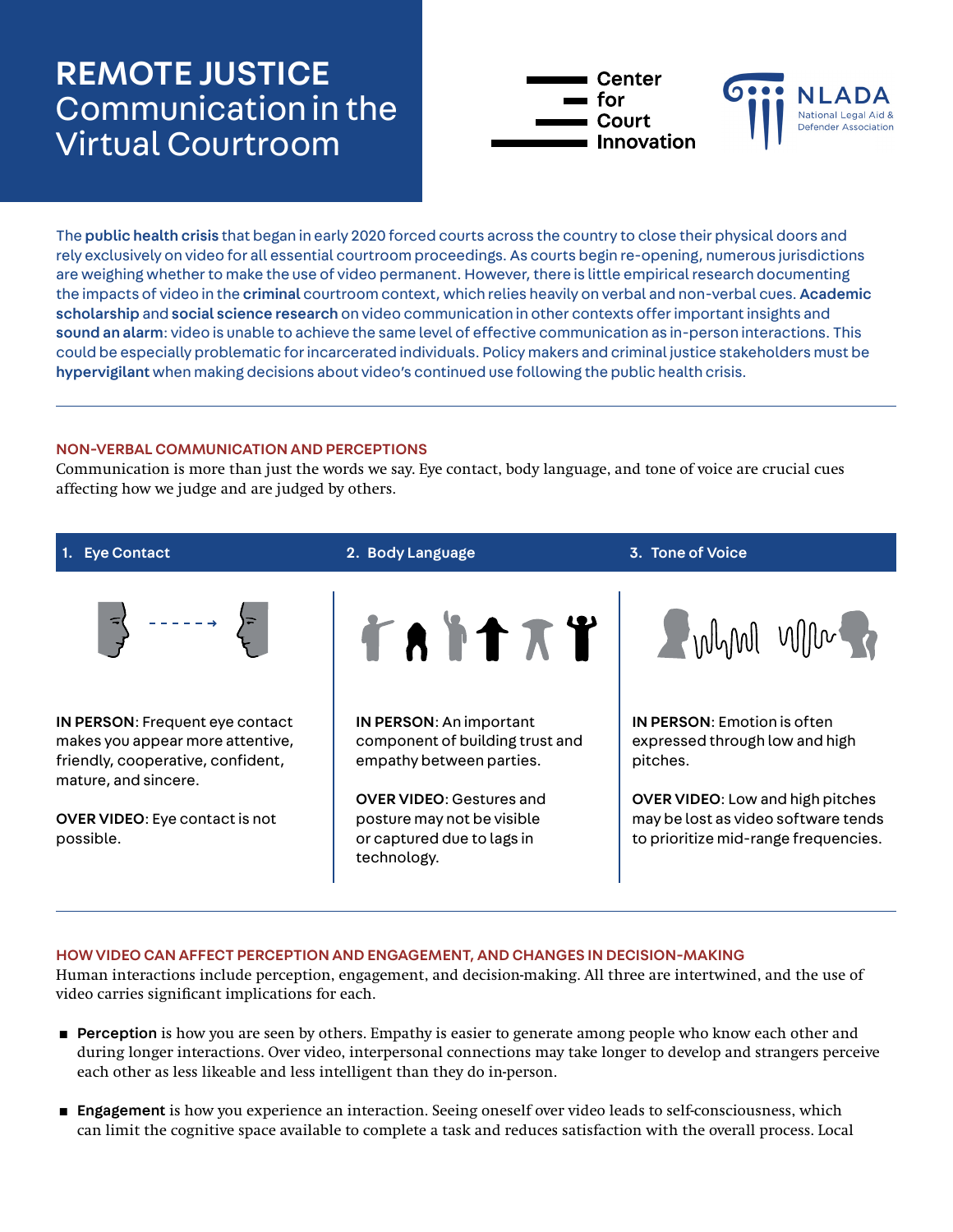# REMOTE JUSTICE Communication in the Virtual Courtroom



The public health crisis that began in early 2020 forced courts across the country to close their physical doors and rely exclusively on video for all essential courtroom proceedings. As courts begin re-opening, numerous jurisdictions are weighing whether to make the use of video permanent. However, there is little empirical research documenting the impacts of video in the criminal courtroom context, which relies heavily on verbal and non-verbal cues. Academic scholarship and social science research on video communication in other contexts offer important insights and sound an alarm: video is unable to achieve the same level of effective communication as in-person interactions. This could be especially problematic for incarcerated individuals. Policy makers and criminal justice stakeholders must be hypervigilant when making decisions about video's continued use following the public health crisis.

## NON-VERBAL COMMUNICATION AND PERCEPTIONS

Communication is more than just the words we say. Eye contact, body language, and tone of voice are crucial cues affecting how we judge and are judged by others.



### HOW VIDEO CAN AFFECT PERCEPTION AND ENGAGEMENT, AND CHANGES IN DECISION-MAKING

Human interactions include perception, engagement, and decision-making. All three are intertwined, and the use of video carries significant implications for each.

- **Perception** is how you are seen by others. Empathy is easier to generate among people who know each other and during longer interactions. Over video, interpersonal connections may take longer to develop and strangers perceive each other as less likeable and less intelligent than they do in-person.
- **Engagement** is how you experience an interaction. Seeing oneself over video leads to self-consciousness, which can limit the cognitive space available to complete a task and reduces satisfaction with the overall process. Local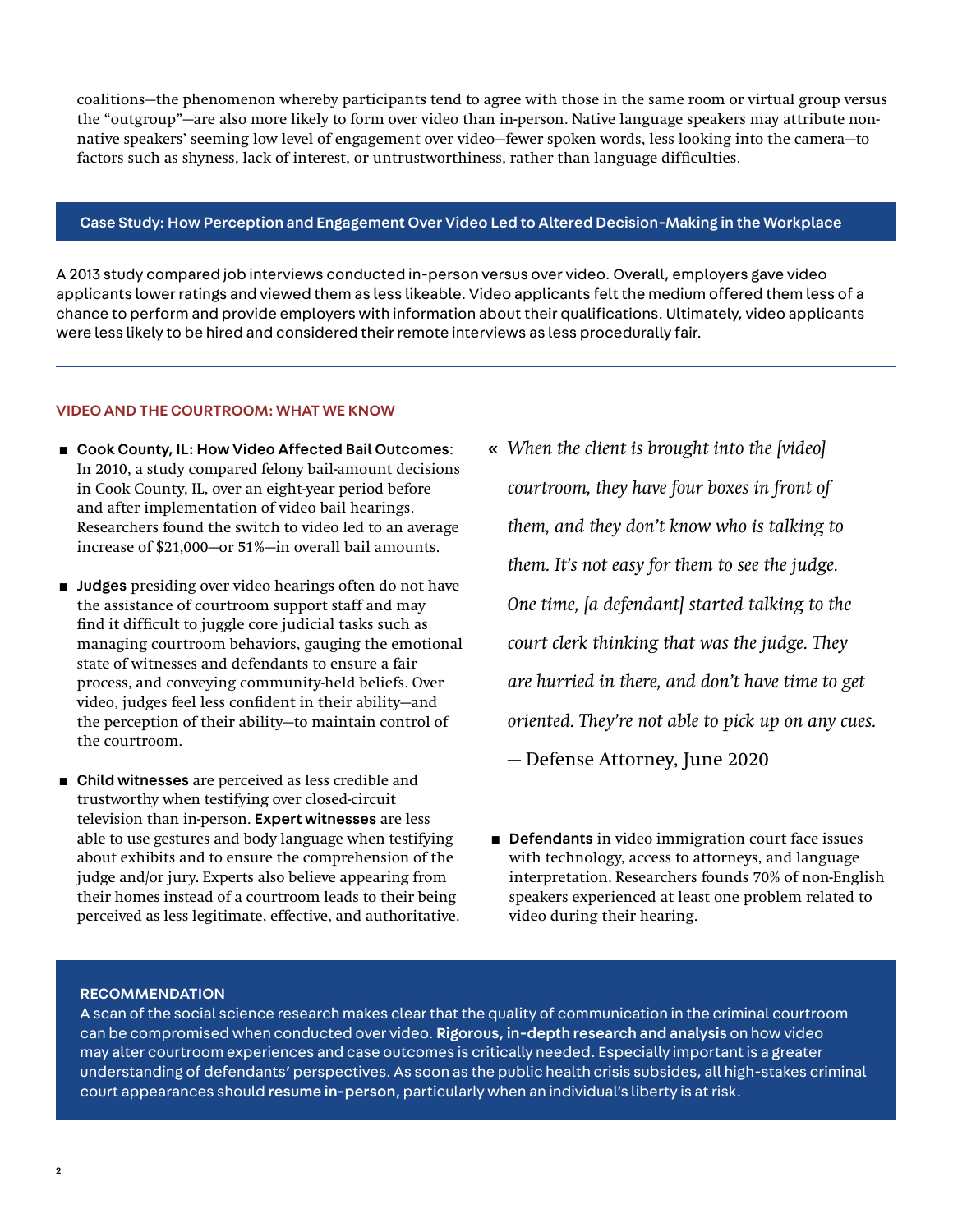coalitions—the phenomenon whereby participants tend to agree with those in the same room or virtual group versus the "outgroup"—are also more likely to form over video than in-person. Native language speakers may attribute nonnative speakers' seeming low level of engagement over video—fewer spoken words, less looking into the camera—to factors such as shyness, lack of interest, or untrustworthiness, rather than language difficulties.

#### Case Study: How Perception and Engagement Over Video Led to Altered Decision-Making in the Workplace

A 2013 study compared job interviews conducted in-person versus over video. Overall, employers gave video applicants lower ratings and viewed them as less likeable. Video applicants felt the medium offered them less of a chance to perform and provide employers with information about their qualifications. Ultimately, video applicants were less likely to be hired and considered their remote interviews as less procedurally fair.

#### VIDEO AND THE COURTROOM: WHAT WE KNOW

- Cook County, IL: How Video Affected Bail Outcomes: In 2010, a study compared felony bail-amount decisions in Cook County, IL, over an eight-year period before and after implementation of video bail hearings. Researchers found the switch to video led to an average increase of \$21,000—or 51%—in overall bail amounts.
- **Judges** presiding over video hearings often do not have the assistance of courtroom support staff and may find it difficult to juggle core judicial tasks such as managing courtroom behaviors, gauging the emotional state of witnesses and defendants to ensure a fair process, and conveying community-held beliefs. Over video, judges feel less confident in their ability—and the perception of their ability—to maintain control of the courtroom.
- Child witnesses are perceived as less credible and trustworthy when testifying over closed-circuit television than in-person. Expert witnesses are less able to use gestures and body language when testifying about exhibits and to ensure the comprehension of the judge and/or jury. Experts also believe appearing from their homes instead of a courtroom leads to their being perceived as less legitimate, effective, and authoritative.
- « *When the client is brought into the [video] courtroom, they have four boxes in front of them, and they don't know who is talking to them. It's not easy for them to see the judge. One time, [a defendant] started talking to the court clerk thinking that was the judge. They are hurried in there, and don't have time to get oriented. They're not able to pick up on any cues.* — Defense Attorney, June 2020
- **Defendants** in video immigration court face issues with technology, access to attorneys, and language interpretation. Researchers founds 70% of non-English speakers experienced at least one problem related to video during their hearing.

#### RECOMMENDATION

A scan of the social science research makes clear that the quality of communication in the criminal courtroom can be compromised when conducted over video. Rigorous, in-depth research and analysis on how video may alter courtroom experiences and case outcomes is critically needed. Especially important is a greater understanding of defendants' perspectives. As soon as the public health crisis subsides, all high-stakes criminal court appearances should resume in-person, particularly when an individual's liberty is at risk.